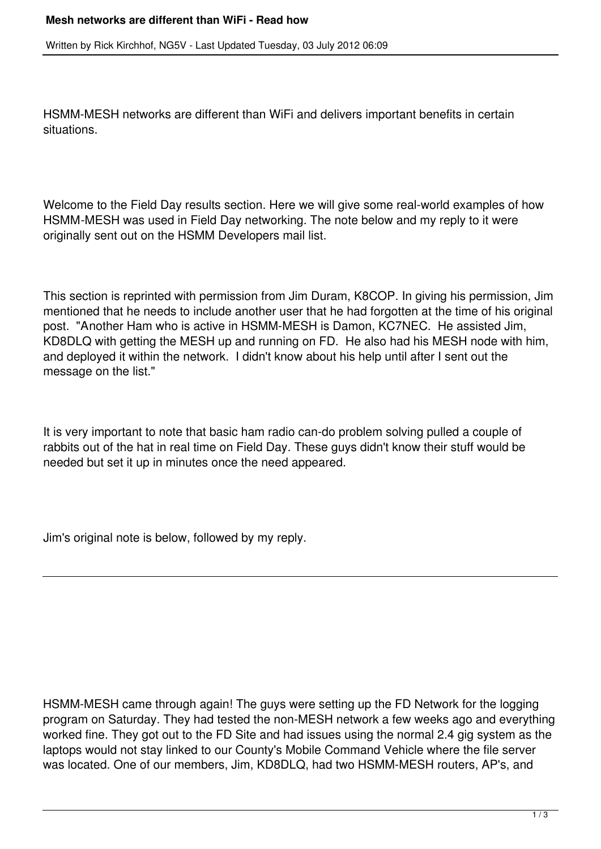Written by Rick Kirchhof, NG5V - Last Updated Tuesday, 03 July 2012 06:09

HSMM-MESH networks are different than WiFi and delivers important benefits in certain situations.

Welcome to the Field Day results section. Here we will give some real-world examples of how HSMM-MESH was used in Field Day networking. The note below and my reply to it were originally sent out on the HSMM Developers mail list.

This section is reprinted with permission from Jim Duram, K8COP. In giving his permission, Jim mentioned that he needs to include another user that he had forgotten at the time of his original post. "Another Ham who is active in HSMM-MESH is Damon, KC7NEC. He assisted Jim, KD8DLQ with getting the MESH up and running on FD. He also had his MESH node with him, and deployed it within the network. I didn't know about his help until after I sent out the message on the list."

It is very important to note that basic ham radio can-do problem solving pulled a couple of rabbits out of the hat in real time on Field Day. These guys didn't know their stuff would be needed but set it up in minutes once the need appeared.

Jim's original note is below, followed by my reply.

HSMM-MESH came through again! The guys were setting up the FD Network for the logging program on Saturday. They had tested the non-MESH network a few weeks ago and everything worked fine. They got out to the FD Site and had issues using the normal 2.4 gig system as the laptops would not stay linked to our County's Mobile Command Vehicle where the file server was located. One of our members, Jim, KD8DLQ, had two HSMM-MESH routers, AP's, and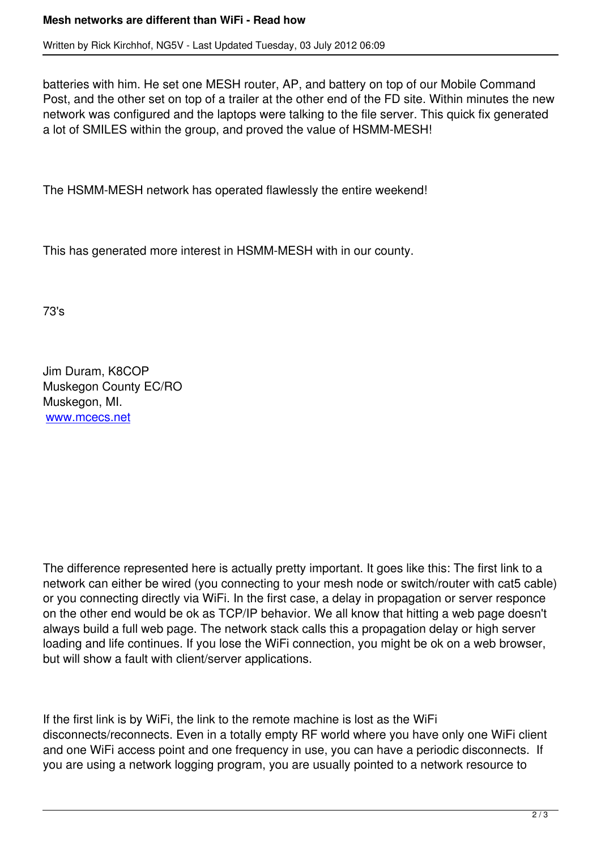batteries with him. He set one MESH router, AP, and battery on top of our Mobile Command Post, and the other set on top of a trailer at the other end of the FD site. Within minutes the new network was configured and the laptops were talking to the file server. This quick fix generated a lot of SMILES within the group, and proved the value of HSMM-MESH!

The HSMM-MESH network has operated flawlessly the entire weekend!

This has generated more interest in HSMM-MESH with in our county.

73's

Jim Duram, K8COP Muskegon County EC/RO Muskegon, MI. www.mcecs.net

The difference represented here is actually pretty important. It goes like this: The first link to a network can either be wired (you connecting to your mesh node or switch/router with cat5 cable) or you connecting directly via WiFi. In the first case, a delay in propagation or server responce on the other end would be ok as TCP/IP behavior. We all know that hitting a web page doesn't always build a full web page. The network stack calls this a propagation delay or high server loading and life continues. If you lose the WiFi connection, you might be ok on a web browser, but will show a fault with client/server applications.

If the first link is by WiFi, the link to the remote machine is lost as the WiFi disconnects/reconnects. Even in a totally empty RF world where you have only one WiFi client and one WiFi access point and one frequency in use, you can have a periodic disconnects. If you are using a network logging program, you are usually pointed to a network resource to